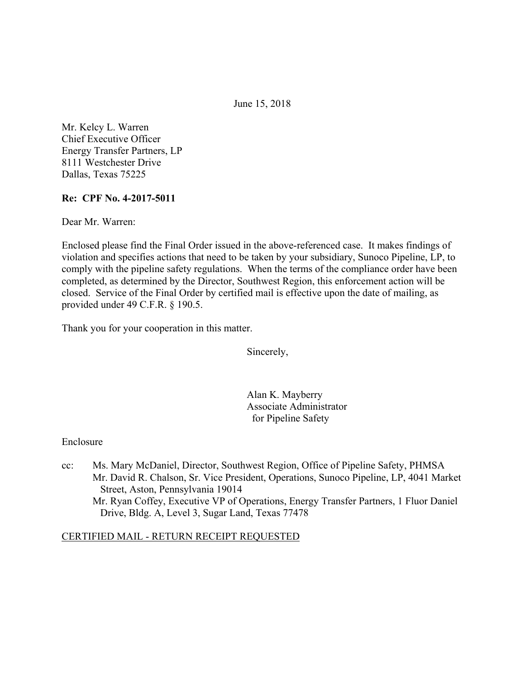June 15, 2018

Mr. Kelcy L. Warren Chief Executive Officer Energy Transfer Partners, LP 8111 Westchester Drive Dallas, Texas 75225

### **Re: CPF No. 4-2017-5011**

Dear Mr. Warren:

Enclosed please find the Final Order issued in the above-referenced case. It makes findings of violation and specifies actions that need to be taken by your subsidiary, Sunoco Pipeline, LP, to comply with the pipeline safety regulations. When the terms of the compliance order have been completed, as determined by the Director, Southwest Region, this enforcement action will be closed. Service of the Final Order by certified mail is effective upon the date of mailing, as provided under 49 C.F.R. § 190.5.

Thank you for your cooperation in this matter.

Sincerely,

Alan K. Mayberry Associate Administrator for Pipeline Safety

#### Enclosure

cc: Ms. Mary McDaniel, Director, Southwest Region, Office of Pipeline Safety, PHMSA Mr. David R. Chalson, Sr. Vice President, Operations, Sunoco Pipeline, LP, 4041 Market Street, Aston, Pennsylvania 19014 Mr. Ryan Coffey, Executive VP of Operations, Energy Transfer Partners, 1 Fluor Daniel Drive, Bldg. A, Level 3, Sugar Land, Texas 77478

#### CERTIFIED MAIL - RETURN RECEIPT REQUESTED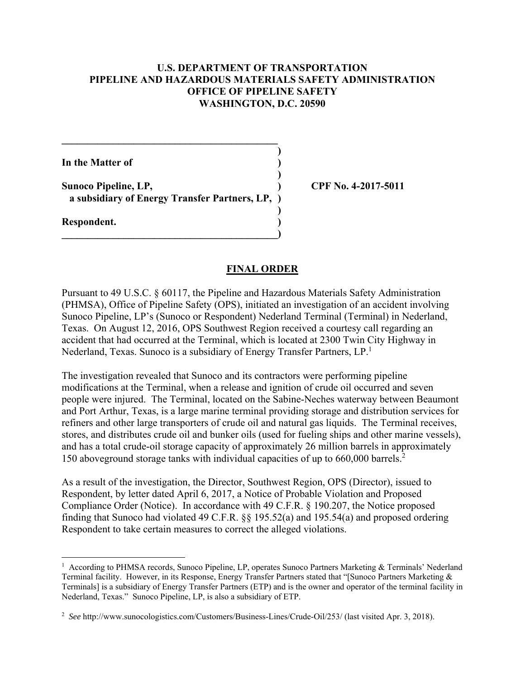#### **U.S. DEPARTMENT OF TRANSPORTATION PIPELINE AND HAZARDOUS MATERIALS SAFETY ADMINISTRATION OFFICE OF PIPELINE SAFETY WASHINGTON, D.C. 20590**

**)**

 **)**

 **)**

**In the Matter of )**

**Sunoco Pipeline, LP, ) CPF No. 4-2017-5011 a subsidiary of Energy Transfer Partners, LP, )**

**\_\_\_\_\_\_\_\_\_\_\_\_\_\_\_\_\_\_\_\_\_\_\_\_\_\_\_\_\_\_\_\_\_\_\_\_\_\_\_\_\_\_)** 

 $\mathcal{L} = \{ \mathcal{L} \}$ 

**Respondent. )** 

#### **FINAL ORDER**

Nederland, Texas. Sunoco is a subsidiary of Energy Transfer Partners, LP.<sup>1</sup> Pursuant to 49 U.S.C. § 60117, the Pipeline and Hazardous Materials Safety Administration (PHMSA), Office of Pipeline Safety (OPS), initiated an investigation of an accident involving Sunoco Pipeline, LP's (Sunoco or Respondent) Nederland Terminal (Terminal) in Nederland, Texas. On August 12, 2016, OPS Southwest Region received a courtesy call regarding an accident that had occurred at the Terminal, which is located at 2300 Twin City Highway in

The investigation revealed that Sunoco and its contractors were performing pipeline modifications at the Terminal, when a release and ignition of crude oil occurred and seven people were injured. The Terminal, located on the Sabine-Neches waterway between Beaumont and Port Arthur, Texas, is a large marine terminal providing storage and distribution services for refiners and other large transporters of crude oil and natural gas liquids. The Terminal receives, stores, and distributes crude oil and bunker oils (used for fueling ships and other marine vessels), and has a total crude-oil storage capacity of approximately 26 million barrels in approximately 150 aboveground storage tanks with individual capacities of up to 660,000 barrels.2

As a result of the investigation, the Director, Southwest Region, OPS (Director), issued to Respondent, by letter dated April 6, 2017, a Notice of Probable Violation and Proposed Compliance Order (Notice). In accordance with 49 C.F.R. § 190.207, the Notice proposed finding that Sunoco had violated 49 C.F.R. §§ 195.52(a) and 195.54(a) and proposed ordering Respondent to take certain measures to correct the alleged violations.

<sup>1&</sup>lt;br>According to PHMSA records, Sunoco Pipeline, LP, operates Sunoco Partners Marketing & Terminals' Nederland Terminal facility. However, in its Response, Energy Transfer Partners stated that "[Sunoco Partners Marketing & Terminals] is a subsidiary of Energy Transfer Partners (ETP) and is the owner and operator of the terminal facility in Nederland, Texas." Sunoco Pipeline, LP, is also a subsidiary of ETP.

 <sup>2</sup> *See* http://www.sunocologistics.com/Customers/Business-Lines/Crude-Oil/253/ (last visited Apr. 3, 2018).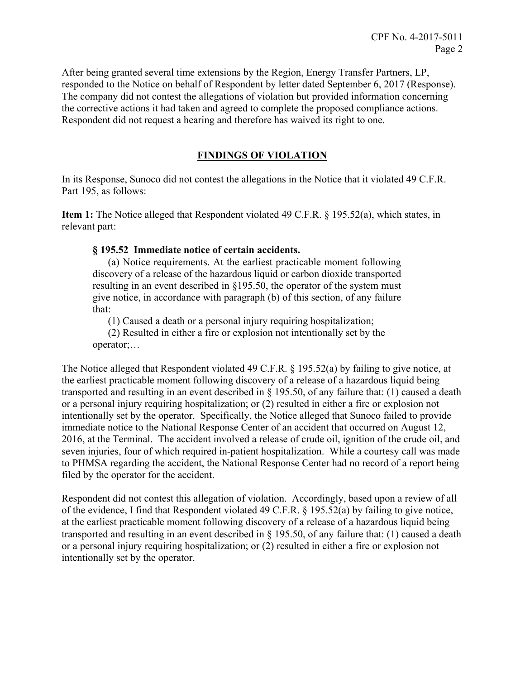After being granted several time extensions by the Region, Energy Transfer Partners, LP, responded to the Notice on behalf of Respondent by letter dated September 6, 2017 (Response). The company did not contest the allegations of violation but provided information concerning the corrective actions it had taken and agreed to complete the proposed compliance actions. Respondent did not request a hearing and therefore has waived its right to one.

# **FINDINGS OF VIOLATION**

In its Response, Sunoco did not contest the allegations in the Notice that it violated 49 C.F.R. Part 195, as follows:

**Item 1:** The Notice alleged that Respondent violated 49 C.F.R. § 195.52(a), which states, in relevant part:

## **§ 195.52 Immediate notice of certain accidents.**

(a) Notice requirements. At the earliest practicable moment following discovery of a release of the hazardous liquid or carbon dioxide transported resulting in an event described in §195.50, the operator of the system must give notice, in accordance with paragraph (b) of this section, of any failure that:

(1) Caused a death or a personal injury requiring hospitalization;

(2) Resulted in either a fire or explosion not intentionally set by the operator;…

The Notice alleged that Respondent violated 49 C.F.R. § 195.52(a) by failing to give notice, at the earliest practicable moment following discovery of a release of a hazardous liquid being transported and resulting in an event described in § 195.50, of any failure that: (1) caused a death or a personal injury requiring hospitalization; or (2) resulted in either a fire or explosion not intentionally set by the operator. Specifically, the Notice alleged that Sunoco failed to provide immediate notice to the National Response Center of an accident that occurred on August 12, 2016, at the Terminal. The accident involved a release of crude oil, ignition of the crude oil, and seven injuries, four of which required in-patient hospitalization. While a courtesy call was made to PHMSA regarding the accident, the National Response Center had no record of a report being filed by the operator for the accident.

Respondent did not contest this allegation of violation. Accordingly, based upon a review of all of the evidence, I find that Respondent violated 49 C.F.R. § 195.52(a) by failing to give notice, at the earliest practicable moment following discovery of a release of a hazardous liquid being transported and resulting in an event described in § 195.50, of any failure that: (1) caused a death or a personal injury requiring hospitalization; or (2) resulted in either a fire or explosion not intentionally set by the operator.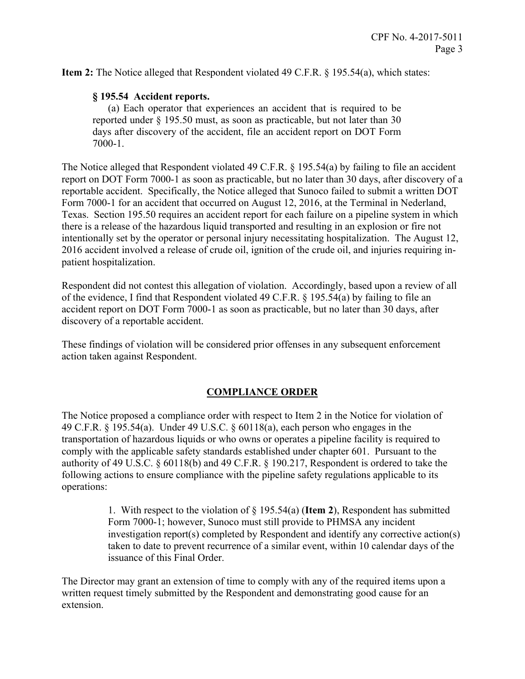**Item 2:** The Notice alleged that Respondent violated 49 C.F.R. § 195.54(a), which states:

#### **§ 195.54 Accident reports.**

(a) Each operator that experiences an accident that is required to be reported under § 195.50 must, as soon as practicable, but not later than 30 days after discovery of the accident, file an accident report on DOT Form 7000-1.

The Notice alleged that Respondent violated 49 C.F.R. § 195.54(a) by failing to file an accident report on DOT Form 7000-1 as soon as practicable, but no later than 30 days, after discovery of a reportable accident. Specifically, the Notice alleged that Sunoco failed to submit a written DOT Form 7000-1 for an accident that occurred on August 12, 2016, at the Terminal in Nederland, Texas. Section 195.50 requires an accident report for each failure on a pipeline system in which there is a release of the hazardous liquid transported and resulting in an explosion or fire not intentionally set by the operator or personal injury necessitating hospitalization. The August 12, 2016 accident involved a release of crude oil, ignition of the crude oil, and injuries requiring inpatient hospitalization.

Respondent did not contest this allegation of violation. Accordingly, based upon a review of all of the evidence, I find that Respondent violated 49 C.F.R. § 195.54(a) by failing to file an accident report on DOT Form 7000-1 as soon as practicable, but no later than 30 days, after discovery of a reportable accident.

These findings of violation will be considered prior offenses in any subsequent enforcement action taken against Respondent.

#### **COMPLIANCE ORDER**

The Notice proposed a compliance order with respect to Item 2 in the Notice for violation of 49 C.F.R. § 195.54(a). Under 49 U.S.C. § 60118(a), each person who engages in the transportation of hazardous liquids or who owns or operates a pipeline facility is required to comply with the applicable safety standards established under chapter 601. Pursuant to the authority of 49 U.S.C. § 60118(b) and 49 C.F.R. § 190.217, Respondent is ordered to take the following actions to ensure compliance with the pipeline safety regulations applicable to its operations:

> 1. With respect to the violation of § 195.54(a) (**Item 2**), Respondent has submitted Form 7000-1; however, Sunoco must still provide to PHMSA any incident investigation report(s) completed by Respondent and identify any corrective action(s) taken to date to prevent recurrence of a similar event, within 10 calendar days of the issuance of this Final Order.

The Director may grant an extension of time to comply with any of the required items upon a written request timely submitted by the Respondent and demonstrating good cause for an extension.